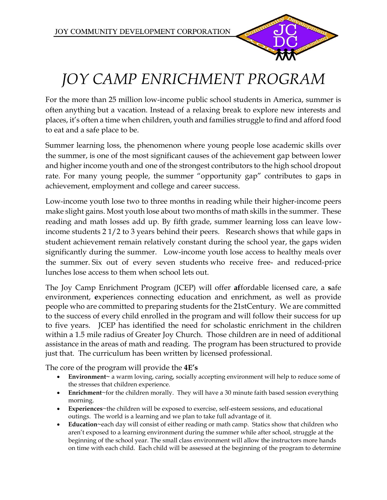

## *JOY CAMP ENRICHMENT PROGRAM*

For the more than 25 million low-income public school students in America, summer is often anything but a vacation. Instead of a relaxing break to explore new interests and places, it's often a time when children, youth and families struggle to find and afford food to eat and a safe place to be.

Summer learning loss, the phenomenon where young people lose academic skills over the summer, is one of the most significant causes of the achievement gap between lower and higher income youth and one of the strongest contributors to the high school dropout rate. For many young people, the summer "opportunity gap" contributes to gaps in achievement, employment and college and career success.

Low-income youth lose two to three months in reading while their higher-income peers make slight gains. Most youth lose about two months of math skills in the summer. These reading and math losses add up. By fifth grade, summer learning loss can leave lowincome students 2 1/2 to 3 years behind their peers. Research shows that while gaps in student achievement remain relatively constant during the school year, the gaps widen significantly during the summer. Low-income youth lose access to healthy meals over the summer. Six out of every seven students who receive free- and reduced-price lunches lose access to them when school lets out.

The Joy Camp Enrichment Program (JCEP) will offer **af**fordable licensed care, a **s**afe environment, **e**xperiences connecting education and enrichment, as well as provide people who are committed to preparing students for the 21stCentury. We are committed to the success of every child enrolled in the program and will follow their success for up to five years. JCEP has identified the need for scholastic enrichment in the children within a 1.5 mile radius of Greater Joy Church. Those children are in need of additional assistance in the areas of math and reading. The program has been structured to provide just that. The curriculum has been written by licensed professional.

The core of the program will provide the **4E's**

- **Environment~** a warm loving, caring, socially accepting environment will help to reduce some of the stresses that children experience.
- **Enrichment**~for the children morally. They will have a 30 minute faith based session everything morning.
- **Experiences**~the children will be exposed to exercise, self-esteem sessions, and educational outings. The world is a learning and we plan to take full advantage of it.
- **Education~**each day will consist of either reading or math camp. Statics show that children who aren't exposed to a learning environment during the summer while after school, struggle at the beginning of the school year. The small class environment will allow the instructors more hands on time with each child. Each child will be assessed at the beginning of the program to determine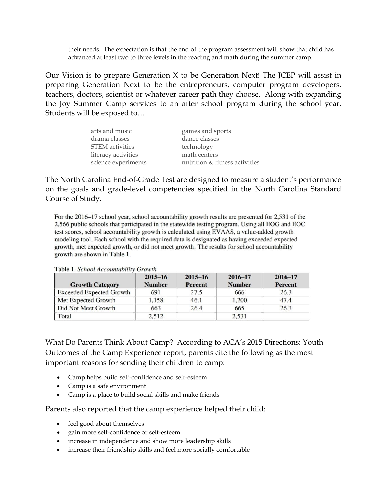their needs. The expectation is that the end of the program assessment will show that child has advanced at least two to three levels in the reading and math during the summer camp.

Our Vision is to prepare Generation X to be Generation Next! The JCEP will assist in preparing Generation Next to be the entrepreneurs, computer program developers, teachers, doctors, scientist or whatever career path they choose. Along with expanding the Joy Summer Camp services to an after school program during the school year. Students will be exposed to…

| arts and music         | games and sports               |
|------------------------|--------------------------------|
| drama classes          | dance classes                  |
| <b>STEM</b> activities | technology                     |
| literacy activities    | math centers                   |
| science experiments    | nutrition & fitness activities |

The North Carolina End-of-Grade Test are designed to measure a student's performance on the goals and grade-level competencies specified in the North Carolina Standard Course of Study.

For the 2016–17 school year, school accountability growth results are presented for 2,531 of the 2,566 public schools that participated in the statewide testing program. Using all EOG and EOC test scores, school accountability growth is calculated using EVAAS, a value-added growth modeling tool. Each school with the required data is designated as having exceeded expected growth, met expected growth, or did not meet growth. The results for school accountability growth are shown in Table 1.

| <b>Growth Category</b> | $2015 - 16$<br><b>Number</b> | $2015 - 16$<br><b>Percent</b> | $2016 - 17$<br><b>Number</b> | $2016 - 17$<br>Percent |
|------------------------|------------------------------|-------------------------------|------------------------------|------------------------|
|                        |                              |                               |                              |                        |
| Met Expected Growth    | 1.158                        | 46.1                          | 1,200                        | 47.4                   |
| Did Not Meet Growth    | 663                          | 26.4                          | 665                          | 26.3                   |
| Total                  | 2,512                        |                               | 2.531                        |                        |

Table 1. School Accountability Growth

What Do Parents Think About Camp? According to ACA's 2015 Directions: Youth Outcomes of the Camp Experience report, parents cite the following as the most important reasons for sending their children to camp:

- Camp helps build self-confidence and self-esteem
- Camp is a safe environment
- Camp is a place to build social skills and make friends

Parents also reported that the camp experience helped their child:

- feel good about themselves
- gain more self-confidence or self-esteem
- increase in independence and show more leadership skills
- increase their friendship skills and feel more socially comfortable